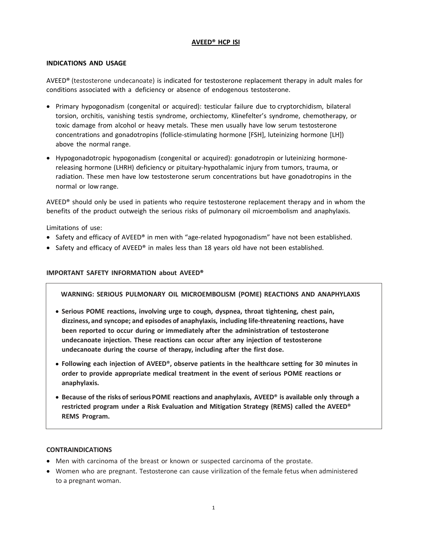# **AVEED® HCP ISI**

# **INDICATIONS AND USAGE**

AVEED® (testosterone undecanoate) is indicated for testosterone replacement therapy in adult males for conditions associated with a deficiency or absence of endogenous testosterone.

- Primary hypogonadism (congenital or acquired): testicular failure due to cryptorchidism, bilateral torsion, orchitis, vanishing testis syndrome, orchiectomy, Klinefelter's syndrome, chemotherapy, or toxic damage from alcohol or heavy metals. These men usually have low serum testosterone concentrations and gonadotropins (follicle-stimulating hormone [FSH], luteinizing hormone [LH]) above the normal range.
- Hypogonadotropic hypogonadism (congenital or acquired): gonadotropin or luteinizing hormonereleasing hormone (LHRH) deficiency or pituitary-hypothalamic injury from tumors, trauma, or radiation. These men have low testosterone serum concentrations but have gonadotropins in the normal or low range.

AVEED<sup>®</sup> should only be used in patients who require testosterone replacement therapy and in whom the benefits of the product outweigh the serious risks of pulmonary oil microembolism and anaphylaxis.

Limitations of use:

- Safety and efficacy of AVEED® in men with "age-related hypogonadism" have not been established.
- Safety and efficacy of AVEED® in males less than 18 years old have not been established.

# **IMPORTANT SAFETY INFORMATION about AVEED®**

**WARNING: SERIOUS PULMONARY OIL MICROEMBOLISM (POME) REACTIONS AND ANAPHYLAXIS**

- **Serious POME reactions, involving urge to cough, dyspnea, throat tightening, chest pain, dizziness, and syncope; and episodes of anaphylaxis, including life‐threatening reactions, have been reported to occur during or immediately after the administration of testosterone undecanoate injection. These reactions can occur after any injection of testosterone undecanoate during the course of therapy, including after the first dose.**
- **Following each injection of AVEED**®**, observe patients in the healthcare setting for 30 minutes in order to provide appropriate medical treatment in the event of serious POME reactions or anaphylaxis.**
- **Because of the risks of serious POME reactions and anaphylaxis, AVEED**® **is available only through a restricted program under a Risk Evaluation and Mitigation Strategy (REMS) called the AVEED**® **REMS Program.**

## **CONTRAINDICATIONS**

- Men with carcinoma of the breast or known or suspected carcinoma of the prostate.
- Women who are pregnant. Testosterone can cause virilization of the female fetus when administered to a pregnant woman.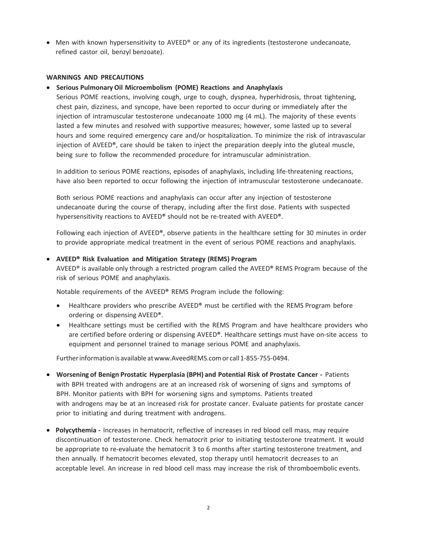• Men with known hypersensitivity to AVEED<sup>®</sup> or any of its ingredients (testosterone undecanoate, refined castor oil, benzyl benzoate).

### **WARNINGS AND PRECAUTIONS**

#### • **Serious Pulmonary Oil Microembolism (POME) Reactions and Anaphylaxis**

Serious POME reactions, involving cough, urge to cough, dyspnea, hyperhidrosis, throat tightening, chest pain, dizziness, and syncope, have been reported to occur during or immediately after the injection of intramuscular testosterone undecanoate 1000 mg (4 mL). The majority of these events lasted a few minutes and resolved with supportive measures; however, some lasted up to several hours and some required emergency care and/or hospitalization. To minimize the risk of intravascular injection of AVEED®, care should be taken to inject the preparation deeply into the gluteal muscle, being sure to follow the recommended procedure for intramuscular administration.

In addition to serious POME reactions, episodes of anaphylaxis, including life-threatening reactions, have also been reported to occur following the injection of intramuscular testosterone undecanoate.

Both serious POME reactions and anaphylaxis can occur after any injection of testosterone undecanoate during the course of therapy, including after the first dose. Patients with suspected hypersensitivity reactions to AVEED® should not be re-treated with AVEED®.

Following each injection of AVEED®, observe patients in the healthcare setting for 30 minutes in order to provide appropriate medical treatment in the event of serious POME reactions and anaphylaxis.

## • **AVEED® Risk Evaluation and Mitigation Strategy (REMS) Program**

AVEED® is available only through a restricted program called the AVEED® REMS Program because of the risk of serious POME and anaphylaxis.

Notable requirements of the AVEED® REMS Program include the following:

- Healthcare providers who prescribe AVEED® must be certified with the REMS Program before ordering or dispensing AVEED®.
- Healthcare settings must be certified with the REMS Program and have healthcare providers who are certified before ordering or dispensing AVEED®. Healthcare settings must have on-site access to equipment and personnel trained to manage serious POME and anaphylaxis.

Further information is available at www.AveedREMS.com or call 1-855-755-0494.

- **Worsening of Benign Prostatic Hyperplasia (BPH) and Potential Risk of Prostate Cancer -** Patients with BPH treated with androgens are at an increased risk of worsening of signs and symptoms of BPH. Monitor patients with BPH for worsening signs and symptoms. Patients treated with androgens may be at an increased risk for prostate cancer. Evaluate patients for prostate cancer prior to initiating and during treatment with androgens.
- **Polycythemia -** Increases in hematocrit, reflective of increases in red blood cell mass, may require discontinuation of testosterone. Check hematocrit prior to initiating testosterone treatment. It would be appropriate to re-evaluate the hematocrit 3 to 6 months after starting testosterone treatment, and then annually. If hematocrit becomes elevated, stop therapy until hematocrit decreases to an acceptable level. An increase in red blood cell mass may increase the risk of thromboembolic events.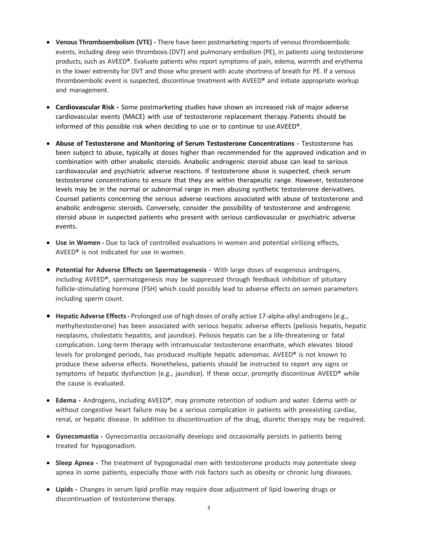- **Venous Thromboembolism (VTE) -** There have been postmarketing reports of venous thromboembolic events, including deep vein thrombosis (DVT) and pulmonary embolism (PE), in patients using testosterone products, such as AVEED®. Evaluate patients who report symptoms of pain, edema, warmth and erythema in the lower extremity for DVT and those who present with acute shortness of breath for PE. If a venous thromboembolic event is suspected, discontinue treatment with AVEED® and initiate appropriate workup and management.
- **Cardiovascular Risk -** Some postmarketing studies have shown an increased risk of major adverse cardiovascular events (MACE) with use of testosterone replacement therapy. Patients should be informed of this possible risk when deciding to use or to continue to use AVEED®.
- **Abuse of Testosterone and Monitoring of Serum Testosterone Concentrations -** Testosterone has been subject to abuse, typically at doses higher than recommended for the approved indication and in combination with other anabolic steroids. Anabolic androgenic steroid abuse can lead to serious cardiovascular and psychiatric adverse reactions. If testosterone abuse is suspected, check serum testosterone concentrations to ensure that they are within therapeutic range. However, testosterone levels may be in the normal or subnormal range in men abusing synthetic testosterone derivatives. Counsel patients concerning the serious adverse reactions associated with abuse of testosterone and anabolic androgenic steroids. Conversely, consider the possibility of testosterone and androgenic steroid abuse in suspected patients who present with serious cardiovascular or psychiatric adverse events.
- **Use in Women -** Due to lack of controlled evaluations in women and potential virilizing effects, AVEED® is not indicated for use in women.
- **Potential for Adverse Effects on Spermatogenesis -** With large doses of exogenous androgens, including AVEED®, spermatogenesis may be suppressed through feedback inhibition of pituitary follicle-stimulating hormone (FSH) which could possibly lead to adverse effects on semen parameters including sperm count.
- **Hepatic Adverse Effects-** Prolonged use of high doses of orally active 17-alpha-alkyl androgens (e.g., methyltestosterone) has been associated with serious hepatic adverse effects (peliosis hepatis, hepatic neoplasms, cholestatic hepatitis, and jaundice). Peliosis hepatis can be a life-threatening or fatal complication. Long-term therapy with intramuscular testosterone enanthate, which elevates blood levels for prolonged periods, has produced multiple hepatic adenomas. AVEED® is not known to produce these adverse effects. Nonetheless, patients should be instructed to report any signs or symptoms of hepatic dysfunction (e.g., jaundice). If these occur, promptly discontinue AVEED® while the cause is evaluated.
- **Edema -** Androgens, including AVEED®, may promote retention of sodium and water. Edema with or without congestive heart failure may be a serious complication in patients with preexisting cardiac, renal, or hepatic disease. In addition to discontinuation of the drug, diuretic therapy may be required.
- **Gynecomastia -** Gynecomastia occasionally develops and occasionally persists in patients being treated for hypogonadism.
- **Sleep Apnea -** The treatment of hypogonadal men with testosterone products may potentiate sleep apnea in some patients, especially those with risk factors such as obesity or chronic lung diseases.
- **Lipids -** Changes in serum lipid profile may require dose adjustment of lipid lowering drugs or discontinuation of testosterone therapy.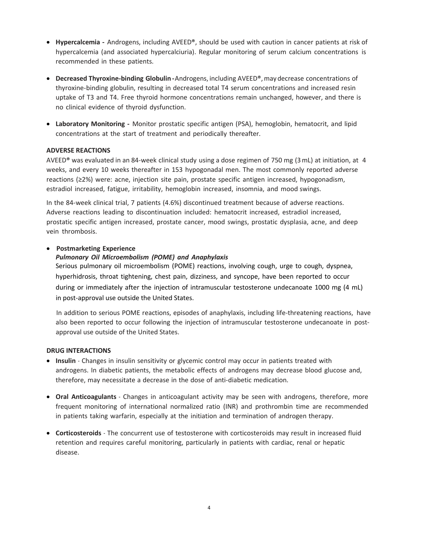- **Hypercalcemia -** Androgens, including AVEED®, should be used with caution in cancer patients at risk of hypercalcemia (and associated hypercalciuria). Regular monitoring of serum calcium concentrations is recommended in these patients.
- **Decreased Thyroxine‐binding Globulin -**Androgens, including AVEED®,may decrease concentrations of thyroxine-binding globulin, resulting in decreased total T4 serum concentrations and increased resin uptake of T3 and T4. Free thyroid hormone concentrations remain unchanged, however, and there is no clinical evidence of thyroid dysfunction.
- **Laboratory Monitoring -** Monitor prostatic specific antigen (PSA), hemoglobin, hematocrit, and lipid concentrations at the start of treatment and periodically thereafter.

## **ADVERSE REACTIONS**

AVEED® was evaluated in an 84-week clinical study using a dose regimen of 750 mg (3mL) at initiation, at 4 weeks, and every 10 weeks thereafter in 153 hypogonadal men. The most commonly reported adverse reactions (≥2%) were: acne, injection site pain, prostate specific antigen increased, hypogonadism, estradiol increased, fatigue, irritability, hemoglobin increased, insomnia, and mood swings.

In the 84-week clinical trial, 7 patients (4.6%) discontinued treatment because of adverse reactions. Adverse reactions leading to discontinuation included: hematocrit increased, estradiol increased, prostatic specific antigen increased, prostate cancer, mood swings, prostatic dysplasia, acne, and deep vein thrombosis.

#### • **Postmarketing Experience**

### *Pulmonary Oil Microembolism (POME) and Anaphylaxis*

Serious pulmonary oil microembolism (POME) reactions, involving cough, urge to cough, dyspnea, hyperhidrosis, throat tightening, chest pain, dizziness, and syncope, have been reported to occur during or immediately after the injection of intramuscular testosterone undecanoate 1000 mg (4 mL) in post-approval use outside the United States.

In addition to serious POME reactions, episodes of anaphylaxis, including life-threatening reactions, have also been reported to occur following the injection of intramuscular testosterone undecanoate in postapproval use outside of the United States.

#### **DRUG INTERACTIONS**

- **Insulin** Changes in insulin sensitivity or glycemic control may occur in patients treated with androgens. In diabetic patients, the metabolic effects of androgens may decrease blood glucose and, therefore, may necessitate a decrease in the dose of anti-diabetic medication.
- **Oral Anticoagulants** Changes in anticoagulant activity may be seen with androgens, therefore, more frequent monitoring of international normalized ratio (INR) and prothrombin time are recommended in patients taking warfarin, especially at the initiation and termination of androgen therapy.
- **Corticosteroids** The concurrent use of testosterone with corticosteroids may result in increased fluid retention and requires careful monitoring, particularly in patients with cardiac, renal or hepatic disease.